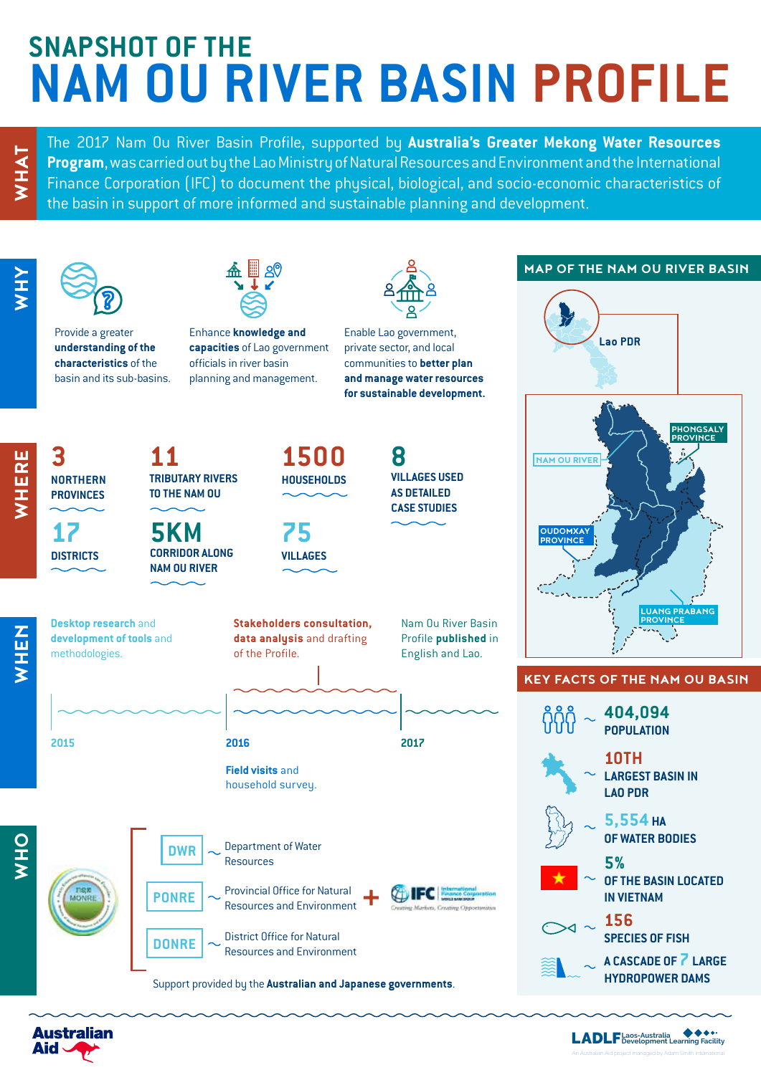# **SNAPSHOT OF THE NAM OU RIVER BASIN PROFILE**

The 2017 Nam Ou River Basin Profile, supported by **Australia's Greater Mekong Water Resources**<br> **Program**, was carried out by the Lao Ministry of Natural Resources and Environment and the International<br>
Finance Corporation **Program**, was carried out by the Lao Ministry of Natural Resources and Environment and the International the basin in support of more informed and sustainable planning and development.



**Desktop research** and **development of tools** and

methodologies.

**17 DISTRICTS**

**NORTHERN PROVINCES**



Enhance **knowledge and capacities** of Lao government officials in river basin planning and management.

Enable Lao government, private sector, and local communities to **better plan and manage water resources for sustainable development.** 

> **VILLAGES USED AS DETAILED CASE STUDIES**

**8**



**5KM CORRIDOR ALONG NAM OU RIVER**



**75 VILLAGES**

**Stakeholders consultation, data analysis** and drafting of the Profile.





**WHEN**



Support provided by the **Australian and Japanese governments**.

#### **MAP OF THE NAM OU RIVER BASIN**





#### **KEY FACTS OF THE NAM OU BASIN**

| 404,094<br><b>POPULATION</b>                      |
|---------------------------------------------------|
| 10TH<br><b>LARGEST BASIN IN</b><br><b>LAO PDR</b> |
| 5,554 на<br>OF WATER BODIES                       |
| 5%<br>OF THE BASIN LOCATED<br><b>IN VIETNAM</b>   |
| 156<br><b>SPECIES OF FISH</b>                     |
| A CASCADE OF 7 LARGE<br><b>HYDROPOWER DAMS</b>    |
|                                                   |